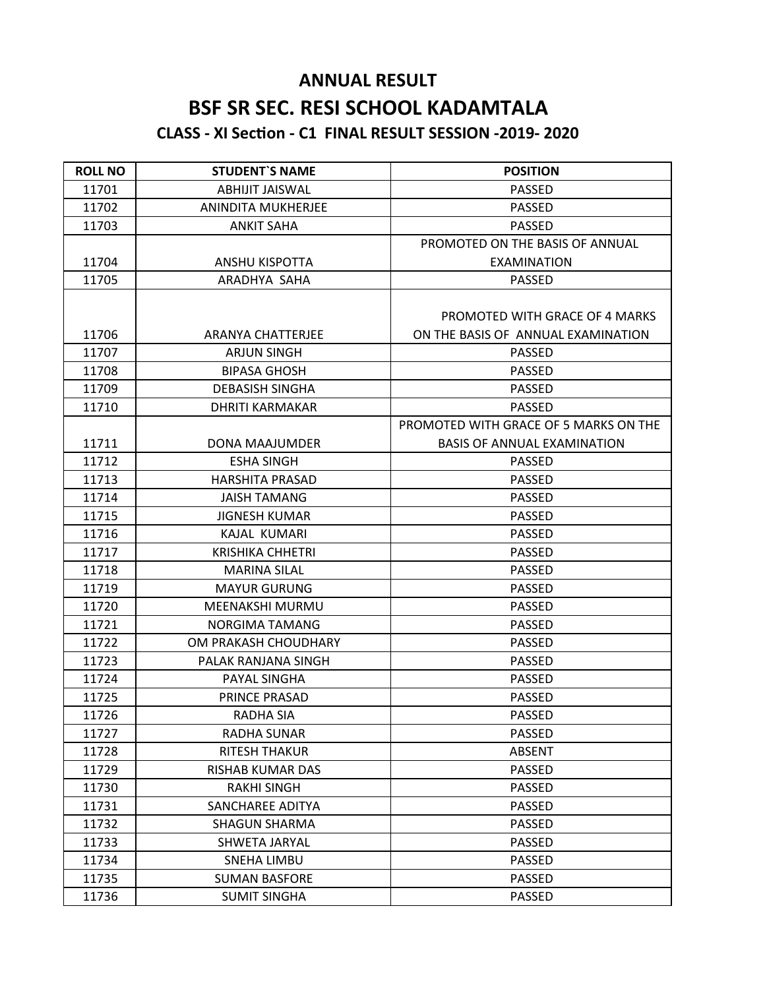## **ANNUAL RESULT BSF SR SEC. RESI SCHOOL KADAMTALA CLASS - XI Section - C1 FINAL RESULT SESSION -2019- 2020**

| <b>ROLL NO</b> | <b>STUDENT'S NAME</b>    | <b>POSITION</b>                       |
|----------------|--------------------------|---------------------------------------|
| 11701          | <b>ABHIJIT JAISWAL</b>   | <b>PASSED</b>                         |
| 11702          | ANINDITA MUKHERJEE       | <b>PASSED</b>                         |
| 11703          | <b>ANKIT SAHA</b>        | <b>PASSED</b>                         |
|                |                          | PROMOTED ON THE BASIS OF ANNUAL       |
| 11704          | ANSHU KISPOTTA           | <b>EXAMINATION</b>                    |
| 11705          | ARADHYA SAHA             | <b>PASSED</b>                         |
|                |                          |                                       |
|                |                          | PROMOTED WITH GRACE OF 4 MARKS        |
| 11706          | <b>ARANYA CHATTERJEE</b> | ON THE BASIS OF ANNUAL EXAMINATION    |
| 11707          | <b>ARJUN SINGH</b>       | <b>PASSED</b>                         |
| 11708          | <b>BIPASA GHOSH</b>      | <b>PASSED</b>                         |
| 11709          | <b>DEBASISH SINGHA</b>   | <b>PASSED</b>                         |
| 11710          | <b>DHRITI KARMAKAR</b>   | <b>PASSED</b>                         |
|                |                          | PROMOTED WITH GRACE OF 5 MARKS ON THE |
| 11711          | DONA MAAJUMDER           | <b>BASIS OF ANNUAL EXAMINATION</b>    |
| 11712          | <b>ESHA SINGH</b>        | <b>PASSED</b>                         |
| 11713          | <b>HARSHITA PRASAD</b>   | <b>PASSED</b>                         |
| 11714          | <b>JAISH TAMANG</b>      | <b>PASSED</b>                         |
| 11715          | <b>JIGNESH KUMAR</b>     | <b>PASSED</b>                         |
| 11716          | KAJAL KUMARI             | <b>PASSED</b>                         |
| 11717          | <b>KRISHIKA CHHETRI</b>  | <b>PASSED</b>                         |
| 11718          | <b>MARINA SILAL</b>      | <b>PASSED</b>                         |
| 11719          | <b>MAYUR GURUNG</b>      | <b>PASSED</b>                         |
| 11720          | <b>MEENAKSHI MURMU</b>   | <b>PASSED</b>                         |
| 11721          | NORGIMA TAMANG           | <b>PASSED</b>                         |
| 11722          | OM PRAKASH CHOUDHARY     | <b>PASSED</b>                         |
| 11723          | PALAK RANJANA SINGH      | <b>PASSED</b>                         |
| 11724          | PAYAL SINGHA             | <b>PASSED</b>                         |
| 11725          | PRINCE PRASAD            | <b>PASSED</b>                         |
| 11726          | RADHA SIA                | <b>PASSED</b>                         |
| 11727          | <b>RADHA SUNAR</b>       | <b>PASSED</b>                         |
| 11728          | <b>RITESH THAKUR</b>     | <b>ABSENT</b>                         |
| 11729          | RISHAB KUMAR DAS         | <b>PASSED</b>                         |
| 11730          | <b>RAKHI SINGH</b>       | <b>PASSED</b>                         |
| 11731          | SANCHAREE ADITYA         | <b>PASSED</b>                         |
| 11732          | <b>SHAGUN SHARMA</b>     | <b>PASSED</b>                         |
| 11733          | SHWETA JARYAL            | <b>PASSED</b>                         |
| 11734          | <b>SNEHA LIMBU</b>       | <b>PASSED</b>                         |
| 11735          | <b>SUMAN BASFORE</b>     | <b>PASSED</b>                         |
| 11736          | <b>SUMIT SINGHA</b>      | <b>PASSED</b>                         |